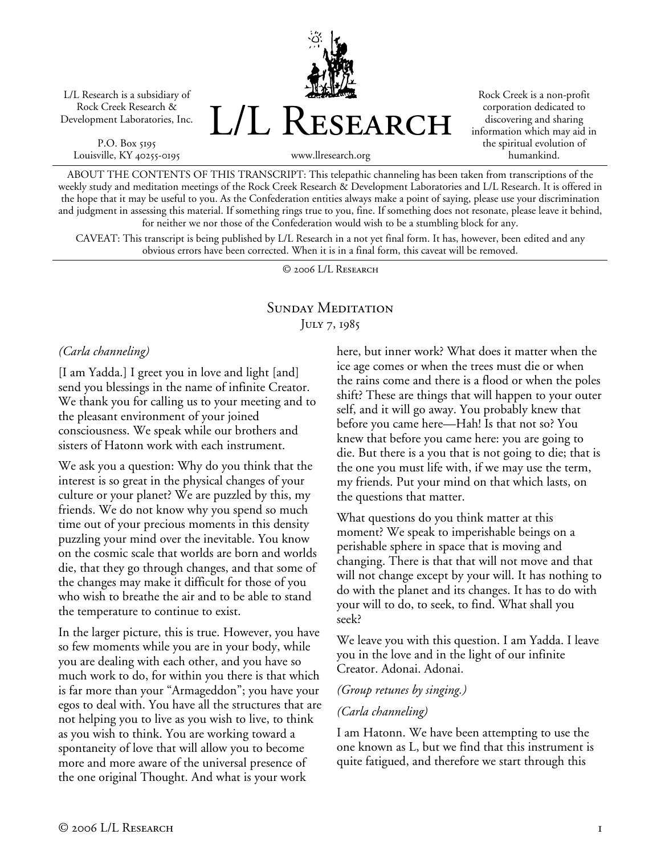L/L Research is a subsidiary of Rock Creek Research & Development Laboratories, Inc.

P.O. Box 5195 Louisville, KY 40255-0195 L/L Research

Rock Creek is a non-profit corporation dedicated to discovering and sharing information which may aid in the spiritual evolution of humankind.

www.llresearch.org

ABOUT THE CONTENTS OF THIS TRANSCRIPT: This telepathic channeling has been taken from transcriptions of the weekly study and meditation meetings of the Rock Creek Research & Development Laboratories and L/L Research. It is offered in the hope that it may be useful to you. As the Confederation entities always make a point of saying, please use your discrimination and judgment in assessing this material. If something rings true to you, fine. If something does not resonate, please leave it behind, for neither we nor those of the Confederation would wish to be a stumbling block for any.

CAVEAT: This transcript is being published by L/L Research in a not yet final form. It has, however, been edited and any obvious errors have been corrected. When it is in a final form, this caveat will be removed.

© 2006 L/L Research

## SUNDAY MEDITATION JULY 7, 1985

#### *(Carla channeling)*

[I am Yadda.] I greet you in love and light [and] send you blessings in the name of infinite Creator. We thank you for calling us to your meeting and to the pleasant environment of your joined consciousness. We speak while our brothers and sisters of Hatonn work with each instrument.

We ask you a question: Why do you think that the interest is so great in the physical changes of your culture or your planet? We are puzzled by this, my friends. We do not know why you spend so much time out of your precious moments in this density puzzling your mind over the inevitable. You know on the cosmic scale that worlds are born and worlds die, that they go through changes, and that some of the changes may make it difficult for those of you who wish to breathe the air and to be able to stand the temperature to continue to exist.

In the larger picture, this is true. However, you have so few moments while you are in your body, while you are dealing with each other, and you have so much work to do, for within you there is that which is far more than your "Armageddon"; you have your egos to deal with. You have all the structures that are not helping you to live as you wish to live, to think as you wish to think. You are working toward a spontaneity of love that will allow you to become more and more aware of the universal presence of the one original Thought. And what is your work

here, but inner work? What does it matter when the ice age comes or when the trees must die or when the rains come and there is a flood or when the poles shift? These are things that will happen to your outer self, and it will go away. You probably knew that before you came here—Hah! Is that not so? You knew that before you came here: you are going to die. But there is a you that is not going to die; that is the one you must life with, if we may use the term, my friends. Put your mind on that which lasts, on the questions that matter.

What questions do you think matter at this moment? We speak to imperishable beings on a perishable sphere in space that is moving and changing. There is that that will not move and that will not change except by your will. It has nothing to do with the planet and its changes. It has to do with your will to do, to seek, to find. What shall you seek?

We leave you with this question. I am Yadda. I leave you in the love and in the light of our infinite Creator. Adonai. Adonai.

#### *(Group retunes by singing.)*

#### *(Carla channeling)*

I am Hatonn. We have been attempting to use the one known as L, but we find that this instrument is quite fatigued, and therefore we start through this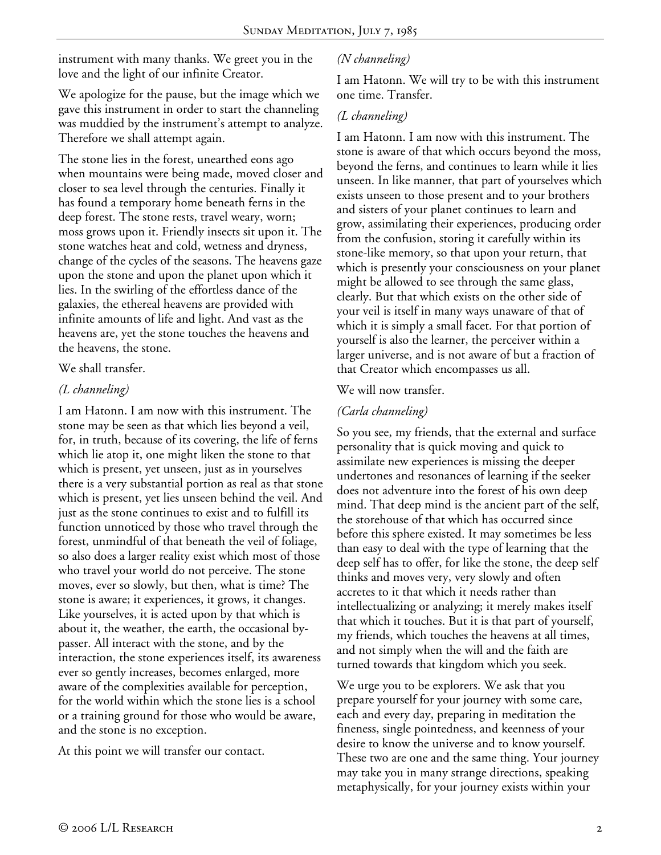instrument with many thanks. We greet you in the love and the light of our infinite Creator.

We apologize for the pause, but the image which we gave this instrument in order to start the channeling was muddied by the instrument's attempt to analyze. Therefore we shall attempt again.

The stone lies in the forest, unearthed eons ago when mountains were being made, moved closer and closer to sea level through the centuries. Finally it has found a temporary home beneath ferns in the deep forest. The stone rests, travel weary, worn; moss grows upon it. Friendly insects sit upon it. The stone watches heat and cold, wetness and dryness, change of the cycles of the seasons. The heavens gaze upon the stone and upon the planet upon which it lies. In the swirling of the effortless dance of the galaxies, the ethereal heavens are provided with infinite amounts of life and light. And vast as the heavens are, yet the stone touches the heavens and the heavens, the stone.

#### We shall transfer.

### *(L channeling)*

I am Hatonn. I am now with this instrument. The stone may be seen as that which lies beyond a veil, for, in truth, because of its covering, the life of ferns which lie atop it, one might liken the stone to that which is present, yet unseen, just as in yourselves there is a very substantial portion as real as that stone which is present, yet lies unseen behind the veil. And just as the stone continues to exist and to fulfill its function unnoticed by those who travel through the forest, unmindful of that beneath the veil of foliage, so also does a larger reality exist which most of those who travel your world do not perceive. The stone moves, ever so slowly, but then, what is time? The stone is aware; it experiences, it grows, it changes. Like yourselves, it is acted upon by that which is about it, the weather, the earth, the occasional bypasser. All interact with the stone, and by the interaction, the stone experiences itself, its awareness ever so gently increases, becomes enlarged, more aware of the complexities available for perception, for the world within which the stone lies is a school or a training ground for those who would be aware, and the stone is no exception.

At this point we will transfer our contact.

## *(N channeling)*

I am Hatonn. We will try to be with this instrument one time. Transfer.

# *(L channeling)*

I am Hatonn. I am now with this instrument. The stone is aware of that which occurs beyond the moss, beyond the ferns, and continues to learn while it lies unseen. In like manner, that part of yourselves which exists unseen to those present and to your brothers and sisters of your planet continues to learn and grow, assimilating their experiences, producing order from the confusion, storing it carefully within its stone-like memory, so that upon your return, that which is presently your consciousness on your planet might be allowed to see through the same glass, clearly. But that which exists on the other side of your veil is itself in many ways unaware of that of which it is simply a small facet. For that portion of yourself is also the learner, the perceiver within a larger universe, and is not aware of but a fraction of that Creator which encompasses us all.

### We will now transfer.

## *(Carla channeling)*

So you see, my friends, that the external and surface personality that is quick moving and quick to assimilate new experiences is missing the deeper undertones and resonances of learning if the seeker does not adventure into the forest of his own deep mind. That deep mind is the ancient part of the self, the storehouse of that which has occurred since before this sphere existed. It may sometimes be less than easy to deal with the type of learning that the deep self has to offer, for like the stone, the deep self thinks and moves very, very slowly and often accretes to it that which it needs rather than intellectualizing or analyzing; it merely makes itself that which it touches. But it is that part of yourself, my friends, which touches the heavens at all times, and not simply when the will and the faith are turned towards that kingdom which you seek.

We urge you to be explorers. We ask that you prepare yourself for your journey with some care, each and every day, preparing in meditation the fineness, single pointedness, and keenness of your desire to know the universe and to know yourself. These two are one and the same thing. Your journey may take you in many strange directions, speaking metaphysically, for your journey exists within your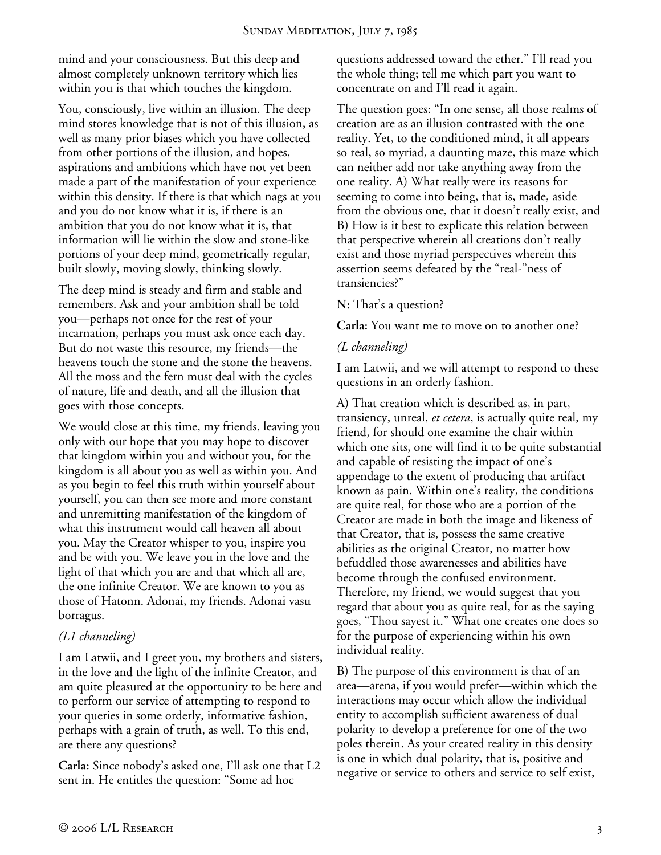mind and your consciousness. But this deep and almost completely unknown territory which lies within you is that which touches the kingdom.

You, consciously, live within an illusion. The deep mind stores knowledge that is not of this illusion, as well as many prior biases which you have collected from other portions of the illusion, and hopes, aspirations and ambitions which have not yet been made a part of the manifestation of your experience within this density. If there is that which nags at you and you do not know what it is, if there is an ambition that you do not know what it is, that information will lie within the slow and stone-like portions of your deep mind, geometrically regular, built slowly, moving slowly, thinking slowly.

The deep mind is steady and firm and stable and remembers. Ask and your ambition shall be told you—perhaps not once for the rest of your incarnation, perhaps you must ask once each day. But do not waste this resource, my friends—the heavens touch the stone and the stone the heavens. All the moss and the fern must deal with the cycles of nature, life and death, and all the illusion that goes with those concepts.

We would close at this time, my friends, leaving you only with our hope that you may hope to discover that kingdom within you and without you, for the kingdom is all about you as well as within you. And as you begin to feel this truth within yourself about yourself, you can then see more and more constant and unremitting manifestation of the kingdom of what this instrument would call heaven all about you. May the Creator whisper to you, inspire you and be with you. We leave you in the love and the light of that which you are and that which all are, the one infinite Creator. We are known to you as those of Hatonn. Adonai, my friends. Adonai vasu borragus.

### *(L1 channeling)*

I am Latwii, and I greet you, my brothers and sisters, in the love and the light of the infinite Creator, and am quite pleasured at the opportunity to be here and to perform our service of attempting to respond to your queries in some orderly, informative fashion, perhaps with a grain of truth, as well. To this end, are there any questions?

**Carla:** Since nobody's asked one, I'll ask one that L2 sent in. He entitles the question: "Some ad hoc

questions addressed toward the ether." I'll read you the whole thing; tell me which part you want to concentrate on and I'll read it again.

The question goes: "In one sense, all those realms of creation are as an illusion contrasted with the one reality. Yet, to the conditioned mind, it all appears so real, so myriad, a daunting maze, this maze which can neither add nor take anything away from the one reality. A) What really were its reasons for seeming to come into being, that is, made, aside from the obvious one, that it doesn't really exist, and B) How is it best to explicate this relation between that perspective wherein all creations don't really exist and those myriad perspectives wherein this assertion seems defeated by the "real-"ness of transiencies?"

#### **N:** That's a question?

**Carla:** You want me to move on to another one?

## *(L channeling)*

I am Latwii, and we will attempt to respond to these questions in an orderly fashion.

A) That creation which is described as, in part, transiency, unreal, *et cetera*, is actually quite real, my friend, for should one examine the chair within which one sits, one will find it to be quite substantial and capable of resisting the impact of one's appendage to the extent of producing that artifact known as pain. Within one's reality, the conditions are quite real, for those who are a portion of the Creator are made in both the image and likeness of that Creator, that is, possess the same creative abilities as the original Creator, no matter how befuddled those awarenesses and abilities have become through the confused environment. Therefore, my friend, we would suggest that you regard that about you as quite real, for as the saying goes, "Thou sayest it." What one creates one does so for the purpose of experiencing within his own individual reality.

B) The purpose of this environment is that of an area—arena, if you would prefer—within which the interactions may occur which allow the individual entity to accomplish sufficient awareness of dual polarity to develop a preference for one of the two poles therein. As your created reality in this density is one in which dual polarity, that is, positive and negative or service to others and service to self exist,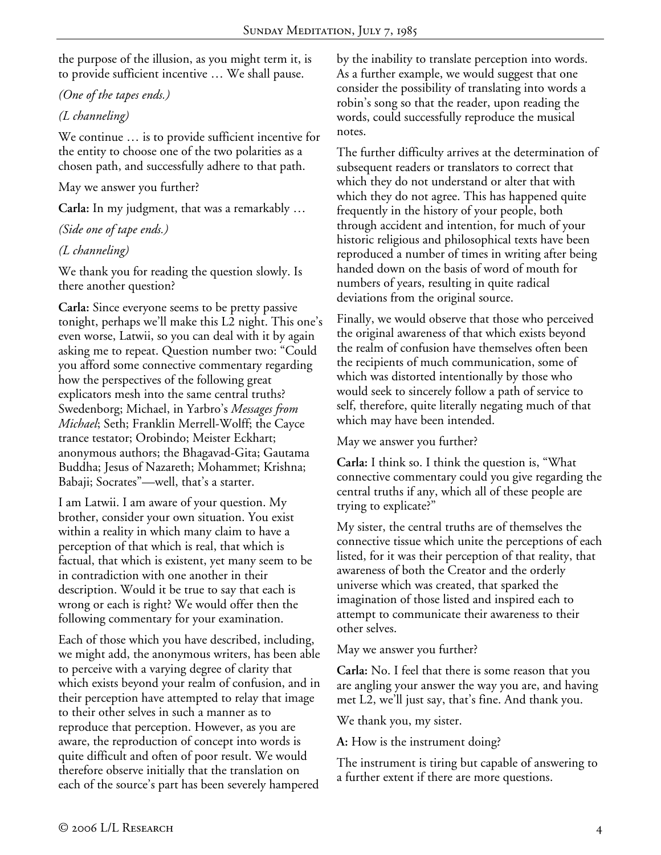the purpose of the illusion, as you might term it, is to provide sufficient incentive … We shall pause.

*(One of the tapes ends.)* 

## *(L channeling)*

We continue … is to provide sufficient incentive for the entity to choose one of the two polarities as a chosen path, and successfully adhere to that path.

### May we answer you further?

**Carla:** In my judgment, that was a remarkably …

## *(Side one of tape ends.)*

# *(L channeling)*

We thank you for reading the question slowly. Is there another question?

**Carla:** Since everyone seems to be pretty passive tonight, perhaps we'll make this L2 night. This one's even worse, Latwii, so you can deal with it by again asking me to repeat. Question number two: "Could you afford some connective commentary regarding how the perspectives of the following great explicators mesh into the same central truths? Swedenborg; Michael, in Yarbro's *Messages from Michael*; Seth; Franklin Merrell-Wolff; the Cayce trance testator; Orobindo; Meister Eckhart; anonymous authors; the Bhagavad-Gita; Gautama Buddha; Jesus of Nazareth; Mohammet; Krishna; Babaji; Socrates"—well, that's a starter.

I am Latwii. I am aware of your question. My brother, consider your own situation. You exist within a reality in which many claim to have a perception of that which is real, that which is factual, that which is existent, yet many seem to be in contradiction with one another in their description. Would it be true to say that each is wrong or each is right? We would offer then the following commentary for your examination.

Each of those which you have described, including, we might add, the anonymous writers, has been able to perceive with a varying degree of clarity that which exists beyond your realm of confusion, and in their perception have attempted to relay that image to their other selves in such a manner as to reproduce that perception. However, as you are aware, the reproduction of concept into words is quite difficult and often of poor result. We would therefore observe initially that the translation on each of the source's part has been severely hampered

by the inability to translate perception into words. As a further example, we would suggest that one consider the possibility of translating into words a robin's song so that the reader, upon reading the words, could successfully reproduce the musical notes.

The further difficulty arrives at the determination of subsequent readers or translators to correct that which they do not understand or alter that with which they do not agree. This has happened quite frequently in the history of your people, both through accident and intention, for much of your historic religious and philosophical texts have been reproduced a number of times in writing after being handed down on the basis of word of mouth for numbers of years, resulting in quite radical deviations from the original source.

Finally, we would observe that those who perceived the original awareness of that which exists beyond the realm of confusion have themselves often been the recipients of much communication, some of which was distorted intentionally by those who would seek to sincerely follow a path of service to self, therefore, quite literally negating much of that which may have been intended.

May we answer you further?

**Carla:** I think so. I think the question is, "What connective commentary could you give regarding the central truths if any, which all of these people are trying to explicate?"

My sister, the central truths are of themselves the connective tissue which unite the perceptions of each listed, for it was their perception of that reality, that awareness of both the Creator and the orderly universe which was created, that sparked the imagination of those listed and inspired each to attempt to communicate their awareness to their other selves.

## May we answer you further?

**Carla:** No. I feel that there is some reason that you are angling your answer the way you are, and having met L2, we'll just say, that's fine. And thank you.

We thank you, my sister.

**A:** How is the instrument doing?

The instrument is tiring but capable of answering to a further extent if there are more questions.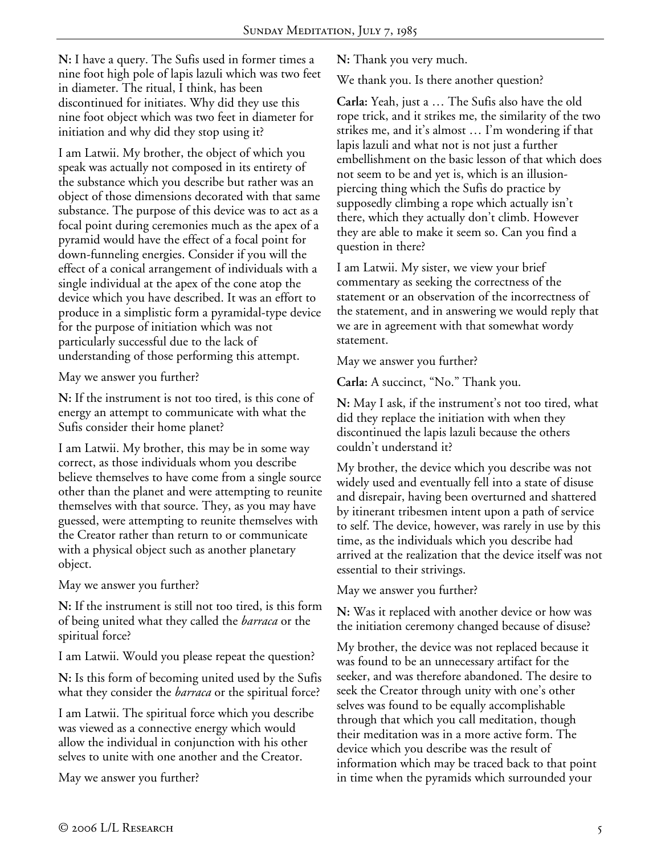**N:** I have a query. The Sufis used in former times a nine foot high pole of lapis lazuli which was two feet in diameter. The ritual, I think, has been discontinued for initiates. Why did they use this nine foot object which was two feet in diameter for initiation and why did they stop using it?

I am Latwii. My brother, the object of which you speak was actually not composed in its entirety of the substance which you describe but rather was an object of those dimensions decorated with that same substance. The purpose of this device was to act as a focal point during ceremonies much as the apex of a pyramid would have the effect of a focal point for down-funneling energies. Consider if you will the effect of a conical arrangement of individuals with a single individual at the apex of the cone atop the device which you have described. It was an effort to produce in a simplistic form a pyramidal-type device for the purpose of initiation which was not particularly successful due to the lack of understanding of those performing this attempt.

May we answer you further?

**N:** If the instrument is not too tired, is this cone of energy an attempt to communicate with what the Sufis consider their home planet?

I am Latwii. My brother, this may be in some way correct, as those individuals whom you describe believe themselves to have come from a single source other than the planet and were attempting to reunite themselves with that source. They, as you may have guessed, were attempting to reunite themselves with the Creator rather than return to or communicate with a physical object such as another planetary object.

May we answer you further?

**N:** If the instrument is still not too tired, is this form of being united what they called the *barraca* or the spiritual force?

I am Latwii. Would you please repeat the question?

**N:** Is this form of becoming united used by the Sufis what they consider the *barraca* or the spiritual force?

I am Latwii. The spiritual force which you describe was viewed as a connective energy which would allow the individual in conjunction with his other selves to unite with one another and the Creator.

May we answer you further?

**N:** Thank you very much.

We thank you. Is there another question?

**Carla:** Yeah, just a … The Sufis also have the old rope trick, and it strikes me, the similarity of the two strikes me, and it's almost … I'm wondering if that lapis lazuli and what not is not just a further embellishment on the basic lesson of that which does not seem to be and yet is, which is an illusionpiercing thing which the Sufis do practice by supposedly climbing a rope which actually isn't there, which they actually don't climb. However they are able to make it seem so. Can you find a question in there?

I am Latwii. My sister, we view your brief commentary as seeking the correctness of the statement or an observation of the incorrectness of the statement, and in answering we would reply that we are in agreement with that somewhat wordy statement.

May we answer you further?

**Carla:** A succinct, "No." Thank you.

**N:** May I ask, if the instrument's not too tired, what did they replace the initiation with when they discontinued the lapis lazuli because the others couldn't understand it?

My brother, the device which you describe was not widely used and eventually fell into a state of disuse and disrepair, having been overturned and shattered by itinerant tribesmen intent upon a path of service to self. The device, however, was rarely in use by this time, as the individuals which you describe had arrived at the realization that the device itself was not essential to their strivings.

May we answer you further?

**N:** Was it replaced with another device or how was the initiation ceremony changed because of disuse?

My brother, the device was not replaced because it was found to be an unnecessary artifact for the seeker, and was therefore abandoned. The desire to seek the Creator through unity with one's other selves was found to be equally accomplishable through that which you call meditation, though their meditation was in a more active form. The device which you describe was the result of information which may be traced back to that point in time when the pyramids which surrounded your